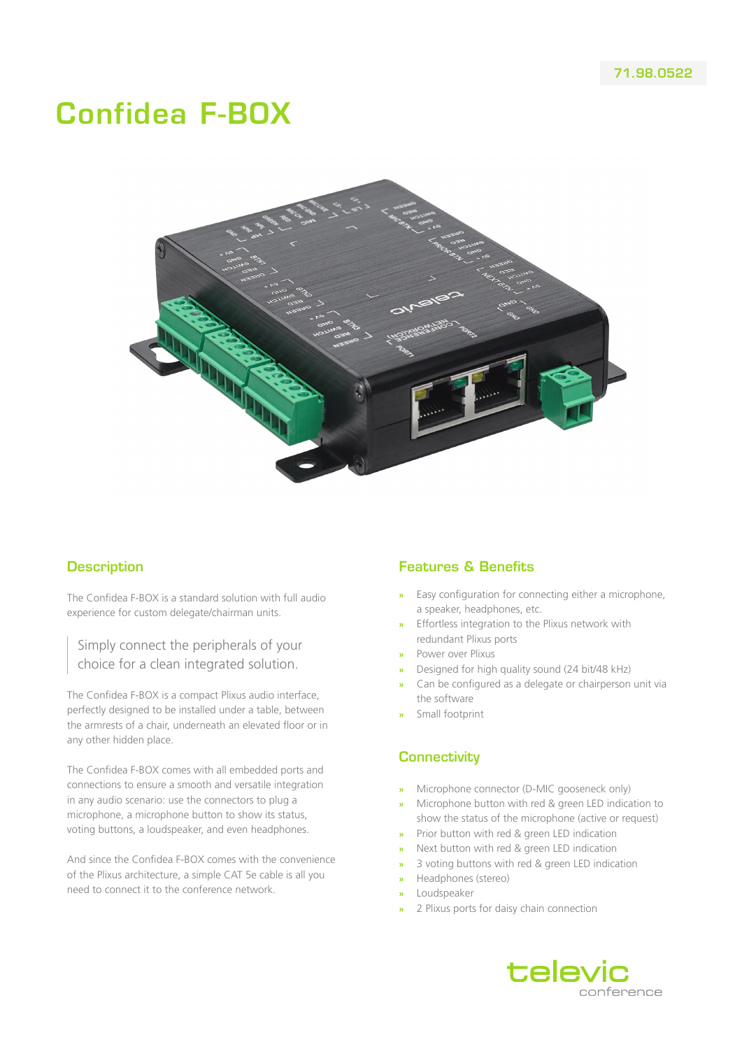# Confidea F-BOX



#### **Description**

The Confidea F-BOX is a standard solution with full audio experience for custom delegate/chairman units.

Simply connect the peripherals of your choice for a clean integrated solution.

The Confidea F-BOX is a compact Plixus audio interface, perfectly designed to be installed under a table, between the armrests of a chair, underneath an elevated floor or in any other hidden place.

The Confidea F-BOX comes with all embedded ports and connections to ensure a smooth and versatile integration in any audio scenario: use the connectors to plug a microphone, a microphone button to show its status, voting buttons, a loudspeaker, and even headphones.

And since the Confidea F-BOX comes with the convenience of the Plixus architecture, a simple CAT 5e cable is all you need to connect it to the conference network.

# Features & Benefits

- **»** Easy configuration for connecting either a microphone, a speaker, headphones, etc.
- **»** Effortless integration to the Plixus network with redundant Plixus ports
- **»** Power over Plixus
- **»** Designed for high quality sound (24 bit/48 kHz)
- **»** Can be configured as a delegate or chairperson unit via the software
- **»** Small footprint

#### **Connectivity**

- **»** Microphone connector (D-MIC gooseneck only)
- **»** Microphone button with red & green LED indication to show the status of the microphone (active or request)
- **»** Prior button with red & green LED indication
- **»** Next button with red & green LED indication
- **»** 3 voting buttons with red & green LED indication
- **»** Headphones (stereo)
- **»** Loudspeaker
- **»** 2 Plixus ports for daisy chain connection

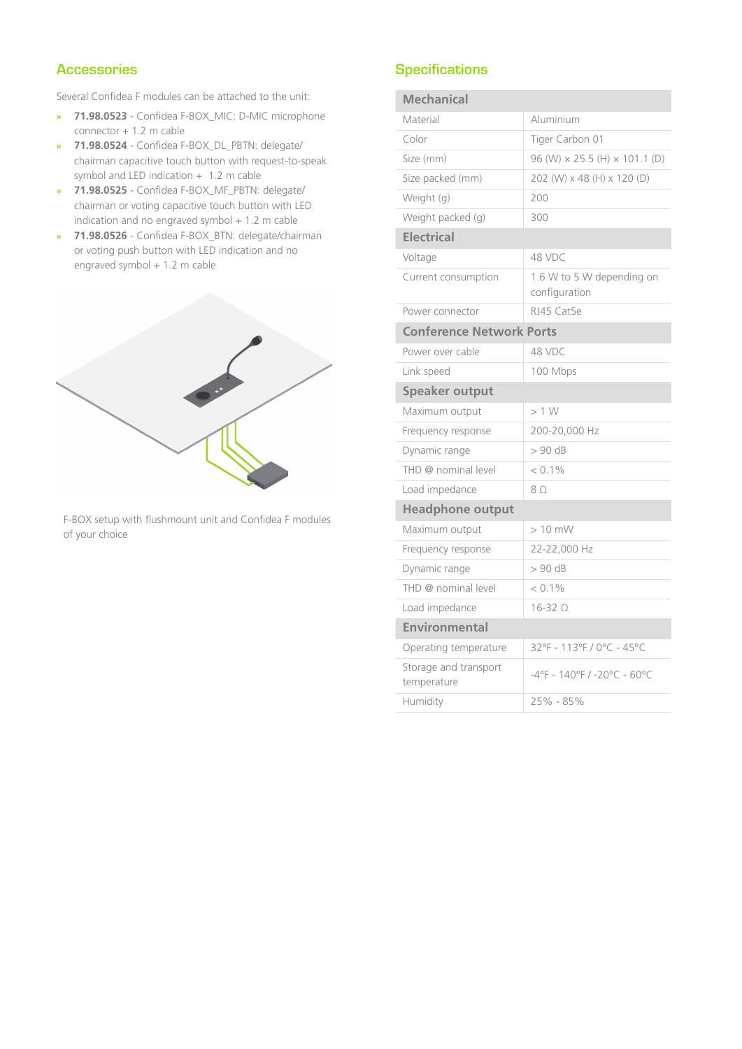# **Accessories**

Several Confidea F modules can be attached to the unit:

- **» 71.98.0523** Confidea F-BOX\_MIC: D-MIC microphone connector + 1.2 m cable
- **» 71.98.0524** Confidea F-BOX\_DL\_PBTN: delegate/ chairman capacitive touch button with request-to-speak symbol and LED indication + 1.2 m cable
- **» 71.98.0525** Confidea F-BOX\_MF\_PBTN: delegate/ chairman or voting capacitive touch button with LED indication and no engraved symbol  $+$  1.2 m cable
- **» 71.98.0526** Confidea F-BOX\_BTN: delegate/chairman or voting push button with LED indication and no engraved symbol + 1.2 m cable



F-BOX setup with flushmount unit and Confidea F modules of your choice

### **Specifications**

| <b>Mechanical</b>                    |                                               |
|--------------------------------------|-----------------------------------------------|
| Material                             | Aluminium                                     |
| Color                                | Tiger Carbon 01                               |
| Size (mm)                            | $96$ (W) $\times$ 25.5 (H) $\times$ 101.1 (D) |
| Size packed (mm)                     | 202 (W) x 48 (H) x 120 (D)                    |
| Weight (g)                           | 200                                           |
| Weight packed (g)                    | 300                                           |
| <b>Electrical</b>                    |                                               |
| Voltage                              | 48 VDC                                        |
| Current consumption                  | 1.6 W to 5 W depending on<br>configuration    |
| Power connector                      | RJ45 Cat5e                                    |
| <b>Conference Network Ports</b>      |                                               |
| Power over cable                     | 48 VDC                                        |
| Link speed                           | 100 Mbps                                      |
| <b>Speaker output</b>                |                                               |
| Maximum output                       | >1 W                                          |
| Frequency response                   | 200-20,000 Hz                                 |
| Dynamic range                        | $> 90$ dB                                     |
| THD @ nominal level                  | $< 0.1\%$                                     |
| Load impedance                       | 80                                            |
| <b>Headphone output</b>              |                                               |
| Maximum output                       | $>10$ mW                                      |
| Frequency response                   | 22-22,000 Hz                                  |
| Dynamic range                        | $> 90$ dB                                     |
| THD @ nominal level                  | $< 0.1\%$                                     |
| Load impedance                       | $16 - 320$                                    |
| Environmental                        |                                               |
| Operating temperature                | 32°F - 113°F / 0°C - 45°C                     |
| Storage and transport<br>temperature | -4°F - 140°F / -20°C - 60°C                   |
| Humidity                             | 25% - 85%                                     |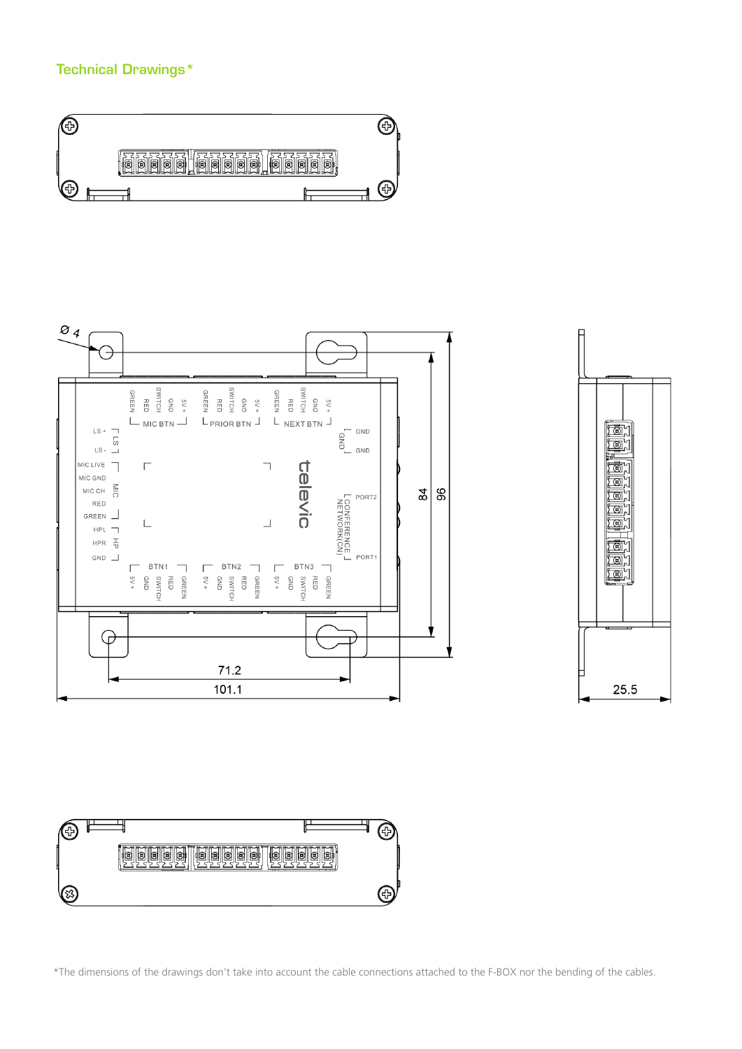# Technical Drawings\*









\*The dimensions of the drawings don't take into account the cable connections attached to the F-BOX nor the bending of the cables.